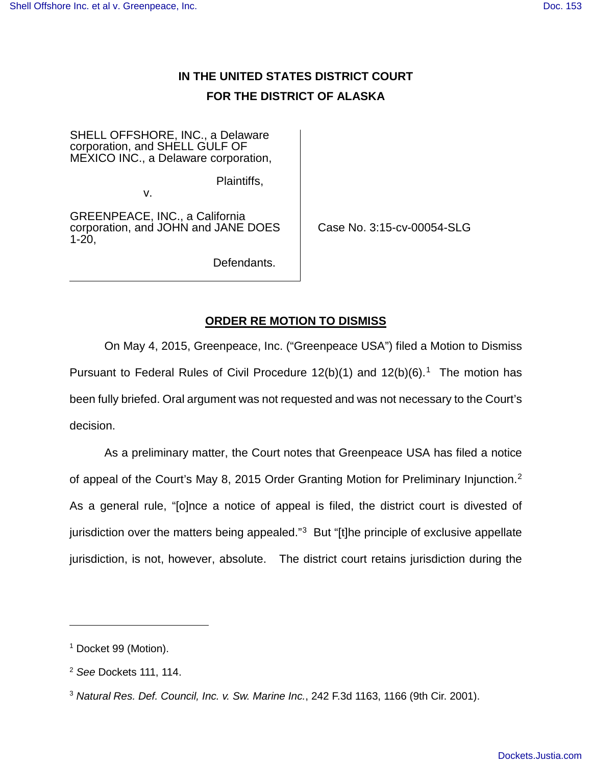# **IN THE UNITED STATES DISTRICT COURT FOR THE DISTRICT OF ALASKA**

SHELL OFFSHORE, INC., a Delaware corporation, and SHELL GULF OF MEXICO INC., a Delaware corporation,

Plaintiffs,

v.

GREENPEACE, INC., a California corporation, and JOHN and JANE DOES 1-20,

Case No. 3:15-cv-00054-SLG

Defendants.

# **ORDER RE MOTION TO DISMISS**

On May 4, 2015, Greenpeace, Inc. ("Greenpeace USA") filed a Motion to Dismiss Pursuant to Federal Rules of Civil Procedure  $12(b)(1)$  $12(b)(1)$  and  $12(b)(6)$ .<sup>1</sup> The motion has been fully briefed. Oral argument was not requested and was not necessary to the Court's decision.

As a preliminary matter, the Court notes that Greenpeace USA has filed a notice of appeal of the Court's May 8, [2](#page-0-1)015 Order Granting Motion for Preliminary Injunction.<sup>2</sup> As a general rule, "[o]nce a notice of appeal is filed, the district court is divested of jurisdiction over the matters being appealed."<sup>[3](#page-0-2)</sup> But "[t]he principle of exclusive appellate jurisdiction, is not, however, absolute. The district court retains jurisdiction during the

 $\overline{a}$ 

<span id="page-0-0"></span><sup>&</sup>lt;sup>1</sup> Docket 99 (Motion).

<span id="page-0-1"></span> $2$  See Dockets 111, 114.

<span id="page-0-2"></span> $3$  Natural Res. Def. Council, Inc. v. Sw. Marine Inc., 242 F.3d 1163, 1166 (9th Cir. 2001).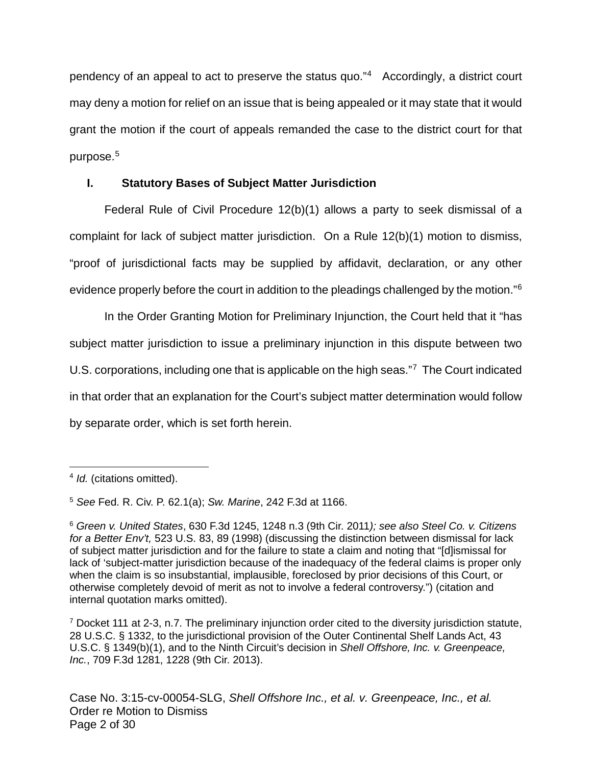pendency of an appeal to act to preserve the status quo."[4](#page-1-0) Accordingly, a district court may deny a motion for relief on an issue that is being appealed or it may state that it would grant the motion if the court of appeals remanded the case to the district court for that purpose. [5](#page-1-1)

# **I. Statutory Bases of Subject Matter Jurisdiction**

Federal Rule of Civil Procedure 12(b)(1) allows a party to seek dismissal of a complaint for lack of subject matter jurisdiction. On a Rule 12(b)(1) motion to dismiss, "proof of jurisdictional facts may be supplied by affidavit, declaration, or any other evidence properly before the court in addition to the pleadings challenged by the motion."<sup>[6](#page-1-2)</sup>

In the Order Granting Motion for Preliminary Injunction, the Court held that it "has subject matter jurisdiction to issue a preliminary injunction in this dispute between two U.S. corporations, including one that is applicable on the high seas."<sup>[7](#page-1-3)</sup> The Court indicated in that order that an explanation for the Court's subject matter determination would follow by separate order, which is set forth herein.

 $\overline{a}$ 

<span id="page-1-0"></span><sup>&</sup>lt;sup>4</sup> Id. (citations omitted).

<span id="page-1-1"></span><sup>5</sup> See Fed. R. Civ. P. 62.1(a); Sw. Marine, 242 F.3d at 1166.

<span id="page-1-2"></span><sup>6</sup> Green v. United States, 630 F.3d 1245, 1248 n.3 (9th Cir. 2011); see also Steel Co. v. Citizens for a Better Env't, 523 U.S. 83, 89 (1998) (discussing the distinction between dismissal for lack of subject matter jurisdiction and for the failure to state a claim and noting that "[d]ismissal for lack of 'subject-matter jurisdiction because of the inadequacy of the federal claims is proper only when the claim is so insubstantial, implausible, foreclosed by prior decisions of this Court, or otherwise completely devoid of merit as not to involve a federal controversy.") (citation and internal quotation marks omitted).

<span id="page-1-3"></span> $7$  Docket 111 at 2-3, n.7. The preliminary injunction order cited to the diversity jurisdiction statute, 28 U.S.C. § 1332, to the jurisdictional provision of the Outer Continental Shelf Lands Act, 43 U.S.C. § 1349(b)(1), and to the Ninth Circuit's decision in Shell Offshore, Inc. v. Greenpeace, Inc., 709 F.3d 1281, 1228 (9th Cir. 2013).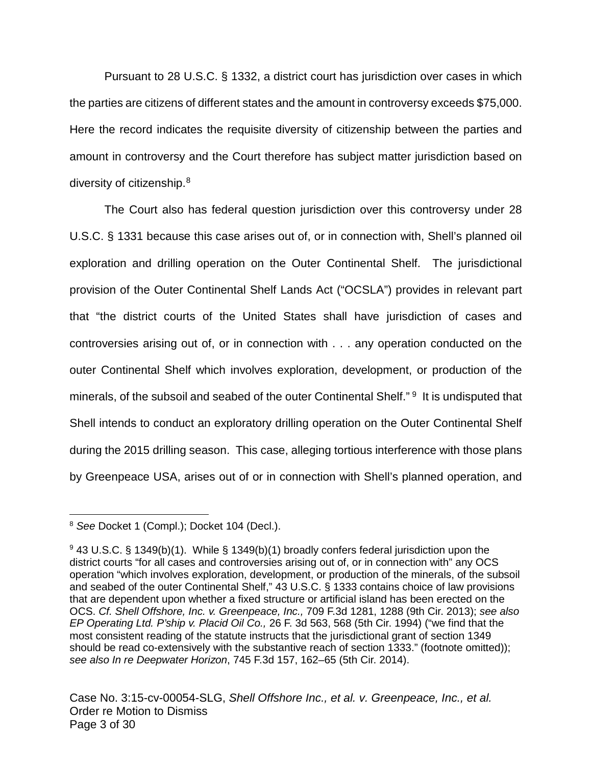Pursuant to 28 U.S.C. § 1332, a district court has jurisdiction over cases in which the parties are citizens of different states and the amount in controversy exceeds \$75,000. Here the record indicates the requisite diversity of citizenship between the parties and amount in controversy and the Court therefore has subject matter jurisdiction based on diversity of citizenship.<sup>[8](#page-2-0)</sup>

The Court also has federal question jurisdiction over this controversy under 28 U.S.C. § 1331 because this case arises out of, or in connection with, Shell's planned oil exploration and drilling operation on the Outer Continental Shelf. The jurisdictional provision of the Outer Continental Shelf Lands Act ("OCSLA") provides in relevant part that "the district courts of the United States shall have jurisdiction of cases and controversies arising out of, or in connection with . . . any operation conducted on the outer Continental Shelf which involves exploration, development, or production of the minerals, of the subsoil and seabed of the outer Continental Shelf."<sup>9</sup> It is undisputed that Shell intends to conduct an exploratory drilling operation on the Outer Continental Shelf during the 2015 drilling season. This case, alleging tortious interference with those plans by Greenpeace USA, arises out of or in connection with Shell's planned operation, and

<span id="page-2-0"></span><sup>&</sup>lt;sup>8</sup> See Docket 1 (Compl.); Docket 104 (Decl.).  $\overline{a}$ 

<span id="page-2-1"></span><sup>9</sup> 43 U.S.C. § 1349(b)(1). While § 1349(b)(1) broadly confers federal jurisdiction upon the district courts "for all cases and controversies arising out of, or in connection with" any OCS operation "which involves exploration, development, or production of the minerals, of the subsoil and seabed of the outer Continental Shelf," 43 U.S.C. § 1333 contains choice of law provisions that are dependent upon whether a fixed structure or artificial island has been erected on the OCS. Cf. Shell Offshore, Inc. v. Greenpeace, Inc., 709 F.3d 1281, 1288 (9th Cir. 2013); see also EP Operating Ltd. P'ship v. Placid Oil Co., 26 F. 3d 563, 568 (5th Cir. 1994) ("we find that the most consistent reading of the statute instructs that the jurisdictional grant of section 1349 should be read co-extensively with the substantive reach of section 1333." (footnote omitted)); see also In re Deepwater Horizon, 745 F.3d 157, 162–65 (5th Cir. 2014).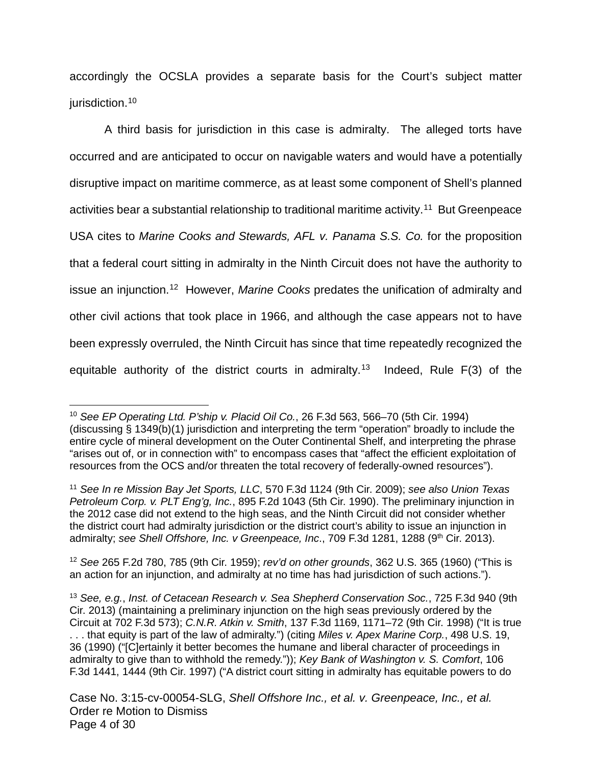accordingly the OCSLA provides a separate basis for the Court's subject matter jurisdiction.<sup>[10](#page-3-0)</sup>

A third basis for jurisdiction in this case is admiralty. The alleged torts have occurred and are anticipated to occur on navigable waters and would have a potentially disruptive impact on maritime commerce, as at least some component of Shell's planned activities bear a substantial relationship to traditional maritime activity.<sup>[11](#page-3-1)</sup> But Greenpeace USA cites to Marine Cooks and Stewards, AFL v. Panama S.S. Co. for the proposition that a federal court sitting in admiralty in the Ninth Circuit does not have the authority to issue an injunction.<sup>[12](#page-3-2)</sup> However, Marine Cooks predates the unification of admiralty and other civil actions that took place in 1966, and although the case appears not to have been expressly overruled, the Ninth Circuit has since that time repeatedly recognized the equitable authority of the district courts in admiralty.<sup>[13](#page-3-3)</sup> Indeed, Rule  $F(3)$  of the

<span id="page-3-2"></span><sup>12</sup> See 265 F.2d 780, 785 (9th Cir. 1959); rev'd on other grounds, 362 U.S. 365 (1960) ("This is an action for an injunction, and admiralty at no time has had jurisdiction of such actions.").

<span id="page-3-0"></span><sup>&</sup>lt;sup>10</sup> See EP Operating Ltd. P'ship v. Placid Oil Co., 26 F.3d 563, 566–70 (5th Cir. 1994) (discussing § 1349(b)(1) jurisdiction and interpreting the term "operation" broadly to include the entire cycle of mineral development on the Outer Continental Shelf, and interpreting the phrase "arises out of, or in connection with" to encompass cases that "affect the efficient exploitation of resources from the OCS and/or threaten the total recovery of federally-owned resources"). 1

<span id="page-3-1"></span><sup>&</sup>lt;sup>11</sup> See In re Mission Bay Jet Sports, LLC, 570 F.3d 1124 (9th Cir. 2009); see also Union Texas Petroleum Corp. v. PLT Eng'g, Inc., 895 F.2d 1043 (5th Cir. 1990). The preliminary injunction in the 2012 case did not extend to the high seas, and the Ninth Circuit did not consider whether the district court had admiralty jurisdiction or the district court's ability to issue an injunction in admiralty; see Shell Offshore, Inc. v Greenpeace, Inc., 709 F.3d 1281, 1288 (9<sup>th</sup> Cir. 2013).

<span id="page-3-3"></span><sup>&</sup>lt;sup>13</sup> See, e.g., Inst. of Cetacean Research v. Sea Shepherd Conservation Soc., 725 F.3d 940 (9th Cir. 2013) (maintaining a preliminary injunction on the high seas previously ordered by the Circuit at 702 F.3d 573); C.N.R. Atkin v. Smith, 137 F.3d 1169, 1171–72 (9th Cir. 1998) ("It is true ... that equity is part of the law of admiralty.") (citing Miles v. Apex Marine Corp., 498 U.S. 19, 36 (1990) ("[C]ertainly it better becomes the humane and liberal character of proceedings in admiralty to give than to withhold the remedy.")); Key Bank of Washington v. S. Comfort, 106 F.3d 1441, 1444 (9th Cir. 1997) ("A district court sitting in admiralty has equitable powers to do

Case No. 3:15-cv-00054-SLG, Shell Offshore Inc., et al. v. Greenpeace, Inc., et al. Order re Motion to Dismiss Page 4 of 30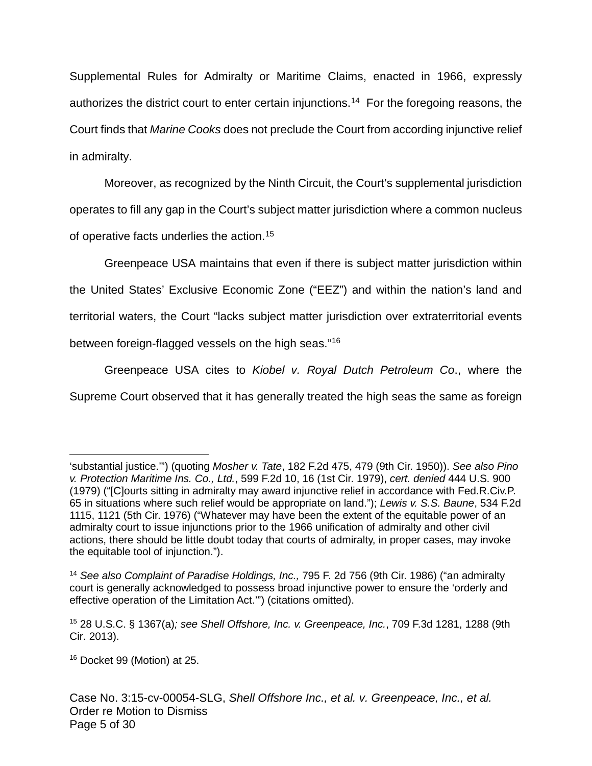Supplemental Rules for Admiralty or Maritime Claims, enacted in 1966, expressly authorizes the district court to enter certain injunctions.<sup>[14](#page-4-0)</sup> For the foregoing reasons, the Court finds that Marine Cooks does not preclude the Court from according injunctive relief in admiralty.

Moreover, as recognized by the Ninth Circuit, the Court's supplemental jurisdiction operates to fill any gap in the Court's subject matter jurisdiction where a common nucleus of operative facts underlies the action.<sup>[15](#page-4-1)</sup>

Greenpeace USA maintains that even if there is subject matter jurisdiction within the United States' Exclusive Economic Zone ("EEZ") and within the nation's land and territorial waters, the Court "lacks subject matter jurisdiction over extraterritorial events between foreign-flagged vessels on the high seas."<sup>[16](#page-4-2)</sup>

Greenpeace USA cites to Kiobel v. Royal Dutch Petroleum Co., where the Supreme Court observed that it has generally treated the high seas the same as foreign

<span id="page-4-2"></span><sup>16</sup> Docket 99 (Motion) at 25.

<sup>&#</sup>x27;substantial justice.'") (quoting Mosher v. Tate, 182 F.2d 475, 479 (9th Cir. 1950)). See also Pino v. Protection Maritime Ins. Co., Ltd., 599 F.2d 10, 16 (1st Cir. 1979), cert. denied 444 U.S. 900 (1979) ("[C]ourts sitting in admiralty may award injunctive relief in accordance with Fed.R.Civ.P. 65 in situations where such relief would be appropriate on land."); Lewis v. S.S. Baune, 534 F.2d 1115, 1121 (5th Cir. 1976) ("Whatever may have been the extent of the equitable power of an admiralty court to issue injunctions prior to the 1966 unification of admiralty and other civil actions, there should be little doubt today that courts of admiralty, in proper cases, may invoke the equitable tool of injunction.").  $\overline{a}$ 

<span id="page-4-0"></span><sup>&</sup>lt;sup>14</sup> See also Complaint of Paradise Holdings, Inc., 795 F. 2d 756 (9th Cir. 1986) ("an admiralty court is generally acknowledged to possess broad injunctive power to ensure the 'orderly and effective operation of the Limitation Act.'") (citations omitted).

<span id="page-4-1"></span> $15$  28 U.S.C. § 1367(a); see Shell Offshore, Inc. v. Greenpeace, Inc., 709 F.3d 1281, 1288 (9th Cir. 2013).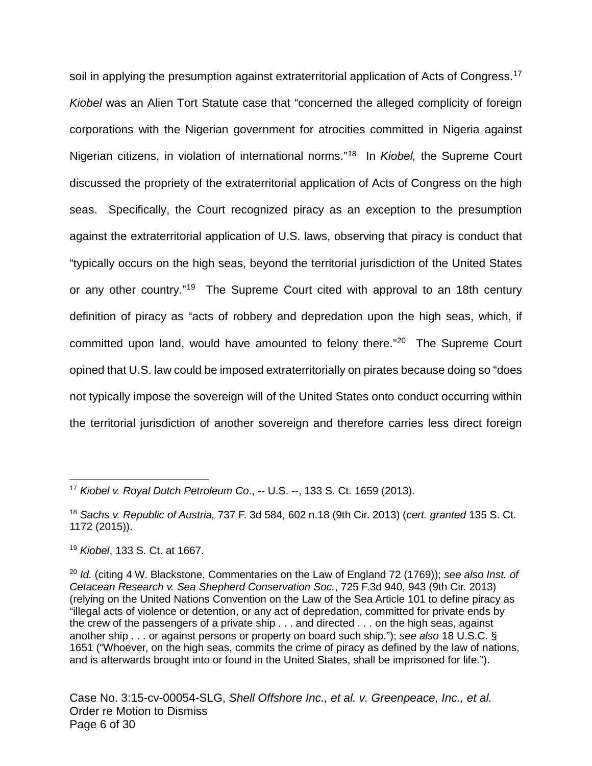soil in applying the presumption against extraterritorial application of Acts of Congress.<sup>[17](#page-5-0)</sup> Kiobel was an Alien Tort Statute case that "concerned the alleged complicity of foreign corporations with the Nigerian government for atrocities committed in Nigeria against Nigerian citizens, in violation of international norms."<sup>[18](#page-5-1)</sup> In *Kiobel,* the Supreme Court discussed the propriety of the extraterritorial application of Acts of Congress on the high seas. Specifically, the Court recognized piracy as an exception to the presumption against the extraterritorial application of U.S. laws, observing that piracy is conduct that "typically occurs on the high seas, beyond the territorial jurisdiction of the United States or any other country."<sup>[19](#page-5-2)</sup> The Supreme Court cited with approval to an 18th century definition of piracy as "acts of robbery and depredation upon the high seas, which, if committed upon land, would have amounted to felony there."<sup>[20](#page-5-3)</sup> The Supreme Court opined that U.S. law could be imposed extraterritorially on pirates because doing so "does not typically impose the sovereign will of the United States onto conduct occurring within the territorial jurisdiction of another sovereign and therefore carries less direct foreign

1

<span id="page-5-0"></span><sup>17</sup> Kiobel v. Royal Dutch Petroleum Co., -- U.S. --, 133 S. Ct. 1659 (2013).

<span id="page-5-1"></span><sup>&</sup>lt;sup>18</sup> Sachs v. Republic of Austria, 737 F. 3d 584, 602 n.18 (9th Cir. 2013) (cert. granted 135 S. Ct. 1172 (2015)).

<span id="page-5-2"></span><sup>19</sup> Kiobel, 133 S. Ct. at 1667.

<span id="page-5-3"></span> $20$  Id. (citing 4 W. Blackstone, Commentaries on the Law of England 72 (1769)); see also Inst. of Cetacean Research v. Sea Shepherd Conservation Soc., 725 F.3d 940, 943 (9th Cir. 2013) (relying on the United Nations Convention on the Law of the Sea Article 101 to define piracy as "illegal acts of violence or detention, or any act of depredation, committed for private ends by the crew of the passengers of a private ship . . . and directed . . . on the high seas, against another ship . . . or against persons or property on board such ship."); see also 18 U.S.C. § 1651 ("Whoever, on the high seas, commits the crime of piracy as defined by the law of nations, and is afterwards brought into or found in the United States, shall be imprisoned for life.").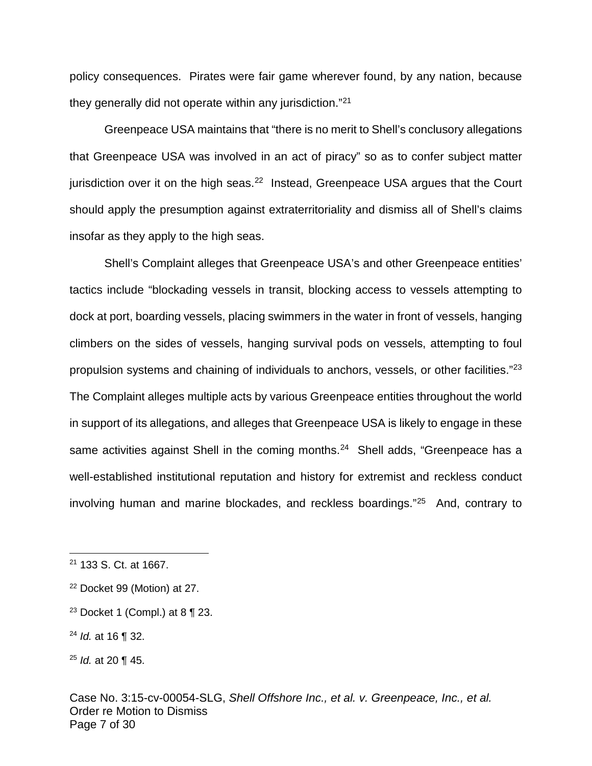policy consequences. Pirates were fair game wherever found, by any nation, because they generally did not operate within any jurisdiction."<sup>[21](#page-6-0)</sup>

Greenpeace USA maintains that "there is no merit to Shell's conclusory allegations that Greenpeace USA was involved in an act of piracy" so as to confer subject matter jurisdiction over it on the high seas.<sup>[22](#page-6-1)</sup> Instead, Greenpeace USA argues that the Court should apply the presumption against extraterritoriality and dismiss all of Shell's claims insofar as they apply to the high seas.

Shell's Complaint alleges that Greenpeace USA's and other Greenpeace entities' tactics include "blockading vessels in transit, blocking access to vessels attempting to dock at port, boarding vessels, placing swimmers in the water in front of vessels, hanging climbers on the sides of vessels, hanging survival pods on vessels, attempting to foul propulsion systems and chaining of individuals to anchors, vessels, or other facilities."<sup>[23](#page-6-2)</sup> The Complaint alleges multiple acts by various Greenpeace entities throughout the world in support of its allegations, and alleges that Greenpeace USA is likely to engage in these same activities against Shell in the coming months.<sup>[24](#page-6-3)</sup> Shell adds, "Greenpeace has a well-established institutional reputation and history for extremist and reckless conduct involving human and marine blockades, and reckless boardings."[25](#page-6-4) And, contrary to

 $\overline{a}$ 

<span id="page-6-0"></span><sup>21</sup> 133 S. Ct. at 1667.

<span id="page-6-1"></span><sup>22</sup> Docket 99 (Motion) at 27.

<span id="page-6-2"></span><sup>&</sup>lt;sup>23</sup> Docket 1 (Compl.) at 8  $\P$  23.

<span id="page-6-3"></span> $24$  *Id.* at 16 ¶ 32.

<span id="page-6-4"></span> $25$  *ld.* at 20 ¶ 45.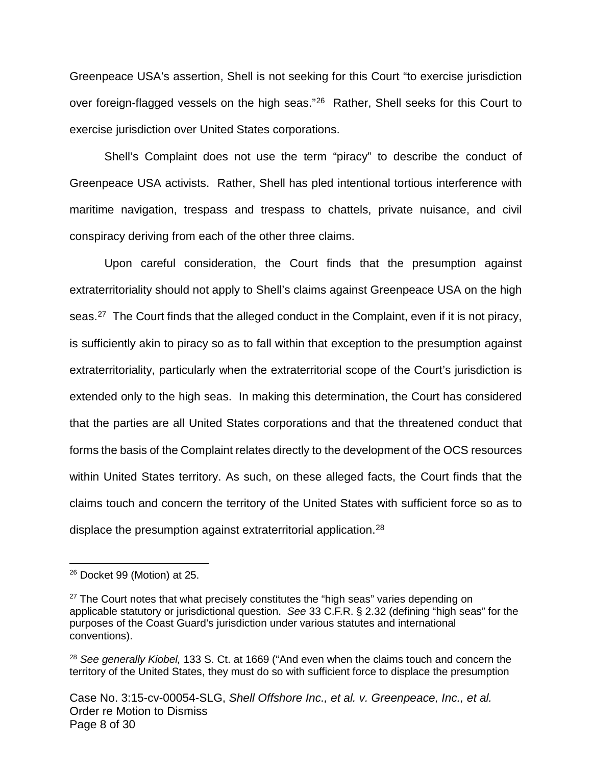Greenpeace USA's assertion, Shell is not seeking for this Court "to exercise jurisdiction over foreign-flagged vessels on the high seas."<sup>[26](#page-7-0)</sup> Rather, Shell seeks for this Court to exercise jurisdiction over United States corporations.

Shell's Complaint does not use the term "piracy" to describe the conduct of Greenpeace USA activists. Rather, Shell has pled intentional tortious interference with maritime navigation, trespass and trespass to chattels, private nuisance, and civil conspiracy deriving from each of the other three claims.

Upon careful consideration, the Court finds that the presumption against extraterritoriality should not apply to Shell's claims against Greenpeace USA on the high seas.<sup>[27](#page-7-1)</sup> The Court finds that the alleged conduct in the Complaint, even if it is not piracy, is sufficiently akin to piracy so as to fall within that exception to the presumption against extraterritoriality, particularly when the extraterritorial scope of the Court's jurisdiction is extended only to the high seas. In making this determination, the Court has considered that the parties are all United States corporations and that the threatened conduct that forms the basis of the Complaint relates directly to the development of the OCS resources within United States territory. As such, on these alleged facts, the Court finds that the claims touch and concern the territory of the United States with sufficient force so as to displace the presumption against extraterritorial application.<sup>[28](#page-7-2)</sup>

<span id="page-7-0"></span><sup>26</sup> Docket 99 (Motion) at 25.  $\overline{a}$ 

<span id="page-7-1"></span> $27$  The Court notes that what precisely constitutes the "high seas" varies depending on applicable statutory or jurisdictional question. See 33 C.F.R. § 2.32 (defining "high seas" for the purposes of the Coast Guard's jurisdiction under various statutes and international conventions).

<span id="page-7-2"></span><sup>&</sup>lt;sup>28</sup> See generally Kiobel, 133 S. Ct. at 1669 ("And even when the claims touch and concern the territory of the United States, they must do so with sufficient force to displace the presumption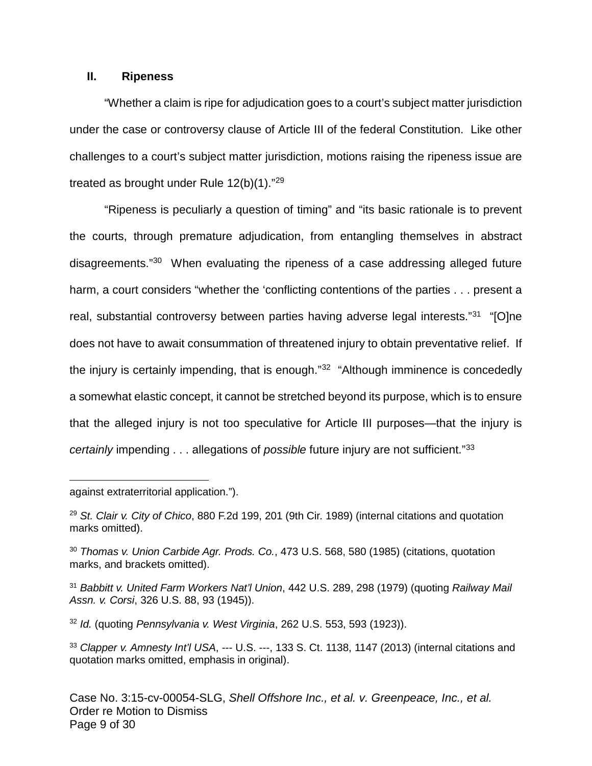### **II. Ripeness**

"Whether a claim is ripe for adjudication goes to a court's subject matter jurisdiction under the case or controversy clause of Article III of the federal Constitution. Like other challenges to a court's subject matter jurisdiction, motions raising the ripeness issue are treated as brought under Rule  $12(b)(1)$ ."<sup>[29](#page-8-0)</sup>

"Ripeness is peculiarly a question of timing" and "its basic rationale is to prevent the courts, through premature adjudication, from entangling themselves in abstract disagreements."<sup>[30](#page-8-1)</sup> When evaluating the ripeness of a case addressing alleged future harm, a court considers "whether the 'conflicting contentions of the parties . . . present a real, substantial controversy between parties having adverse legal interests."<sup>[31](#page-8-2)</sup> "[O]ne does not have to await consummation of threatened injury to obtain preventative relief. If the injury is certainly impending, that is enough."<sup>[32](#page-8-3)</sup> "Although imminence is concededly a somewhat elastic concept, it cannot be stretched beyond its purpose, which is to ensure that the alleged injury is not too speculative for Article III purposes—that the injury is certainly impending . . . allegations of possible future injury are not sufficient."<sup>[33](#page-8-4)</sup>

against extraterritorial application.").

 $\overline{a}$ 

<span id="page-8-1"></span><sup>30</sup> Thomas v. Union Carbide Agr. Prods. Co., 473 U.S. 568, 580 (1985) (citations, quotation marks, and brackets omitted).

<span id="page-8-2"></span><sup>31</sup> Babbitt v. United Farm Workers Nat'l Union, 442 U.S. 289, 298 (1979) (quoting Railway Mail Assn. v. Corsi, 326 U.S. 88, 93 (1945)).

<span id="page-8-3"></span><sup>32</sup> Id. (quoting Pennsylvania v. West Virginia, 262 U.S. 553, 593 (1923)).

<span id="page-8-4"></span>33 Clapper v. Amnesty Int'l USA, --- U.S. ---, 133 S. Ct. 1138, 1147 (2013) (internal citations and quotation marks omitted, emphasis in original).

<span id="page-8-0"></span><sup>&</sup>lt;sup>29</sup> St. Clair v. City of Chico, 880 F.2d 199, 201 (9th Cir. 1989) (internal citations and quotation marks omitted).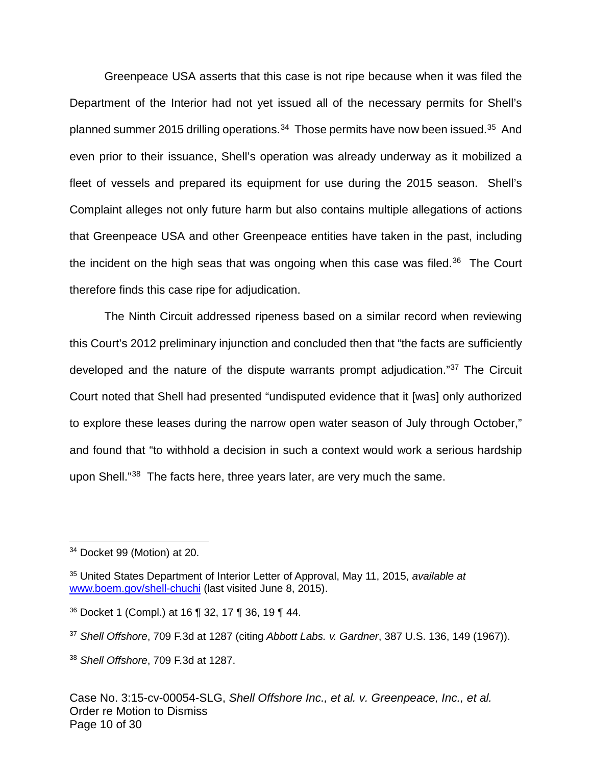Greenpeace USA asserts that this case is not ripe because when it was filed the Department of the Interior had not yet issued all of the necessary permits for Shell's planned summer 2015 drilling operations.<sup>[34](#page-9-0)</sup> Those permits have now been issued.<sup>[35](#page-9-1)</sup> And even prior to their issuance, Shell's operation was already underway as it mobilized a fleet of vessels and prepared its equipment for use during the 2015 season. Shell's Complaint alleges not only future harm but also contains multiple allegations of actions that Greenpeace USA and other Greenpeace entities have taken in the past, including the incident on the high seas that was ongoing when this case was filed.<sup>[36](#page-9-2)</sup> The Court therefore finds this case ripe for adjudication.

The Ninth Circuit addressed ripeness based on a similar record when reviewing this Court's 2012 preliminary injunction and concluded then that "the facts are sufficiently developed and the nature of the dispute warrants prompt adjudication."[37](#page-9-3) The Circuit Court noted that Shell had presented "undisputed evidence that it [was] only authorized to explore these leases during the narrow open water season of July through October," and found that "to withhold a decision in such a context would work a serious hardship upon Shell."<sup>[38](#page-9-4)</sup> The facts here, three years later, are very much the same.

<span id="page-9-0"></span><sup>34</sup> Docket 99 (Motion) at 20.  $\overline{a}$ 

<span id="page-9-1"></span><sup>&</sup>lt;sup>35</sup> United States Department of Interior Letter of Approval, May 11, 2015, available at [www.boem.gov/shell-chuchi](http://www.boem.gov/shell-chuchi) (last visited June 8, 2015).

<span id="page-9-2"></span><sup>36</sup> Docket 1 (Compl.) at 16 ¶ 32, 17 ¶ 36, 19 ¶ 44.

<span id="page-9-3"></span> $37$  Shell Offshore, 709 F.3d at 1287 (citing Abbott Labs. v. Gardner, 387 U.S. 136, 149 (1967)).

<span id="page-9-4"></span><sup>38</sup> Shell Offshore, 709 F.3d at 1287.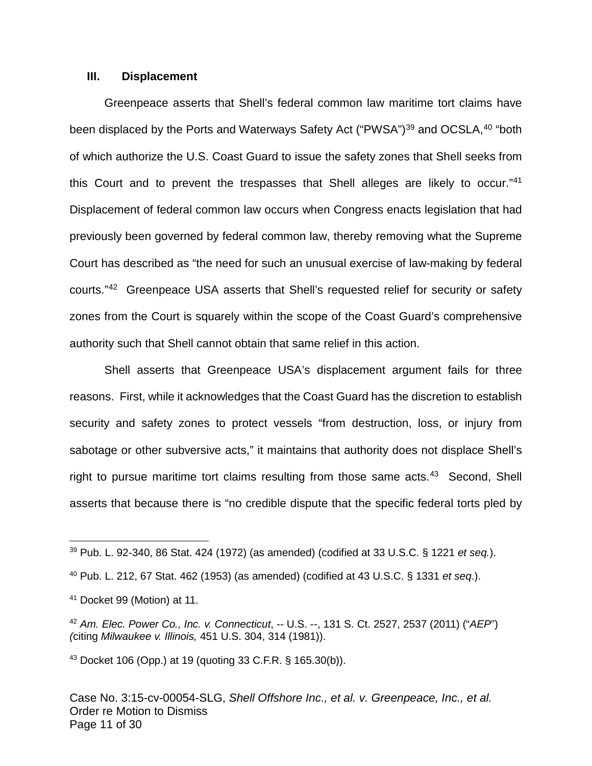#### **III. Displacement**

Greenpeace asserts that Shell's federal common law maritime tort claims have been displaced by the Ports and Waterways Safety Act ("PWSA")<sup>[39](#page-10-0)</sup> and OCSLA,<sup>[40](#page-10-1)</sup> "both of which authorize the U.S. Coast Guard to issue the safety zones that Shell seeks from this Court and to prevent the trespasses that Shell alleges are likely to occur."<sup>[41](#page-10-2)</sup> Displacement of federal common law occurs when Congress enacts legislation that had previously been governed by federal common law, thereby removing what the Supreme Court has described as "the need for such an unusual exercise of law-making by federal courts."<sup>[42](#page-10-3)</sup> Greenpeace USA asserts that Shell's requested relief for security or safety zones from the Court is squarely within the scope of the Coast Guard's comprehensive authority such that Shell cannot obtain that same relief in this action.

Shell asserts that Greenpeace USA's displacement argument fails for three reasons. First, while it acknowledges that the Coast Guard has the discretion to establish security and safety zones to protect vessels "from destruction, loss, or injury from sabotage or other subversive acts," it maintains that authority does not displace Shell's right to pursue maritime tort claims resulting from those same acts.<sup>[43](#page-10-4)</sup> Second, Shell asserts that because there is "no credible dispute that the specific federal torts pled by

 $\overline{a}$ 

<span id="page-10-4"></span><sup>43</sup> Docket 106 (Opp.) at 19 (quoting 33 C.F.R. § 165.30(b)).

Case No. 3:15-cv-00054-SLG, Shell Offshore Inc., et al. v. Greenpeace, Inc., et al. Order re Motion to Dismiss Page 11 of 30

<span id="page-10-0"></span> $39$  Pub. L. 92-340, 86 Stat. 424 (1972) (as amended) (codified at 33 U.S.C. § 1221 et seq.).

<span id="page-10-1"></span> $40$  Pub. L. 212, 67 Stat. 462 (1953) (as amended) (codified at 43 U.S.C. § 1331 et seq.).

<span id="page-10-2"></span><sup>41</sup> Docket 99 (Motion) at 11.

<span id="page-10-3"></span> $42$  Am. Elec. Power Co., Inc. v. Connecticut,  $-$  U.S.  $-$ , 131 S. Ct. 2527, 2537 (2011) ("AEP") (citing Milwaukee v. Illinois, 451 U.S. 304, 314 (1981)).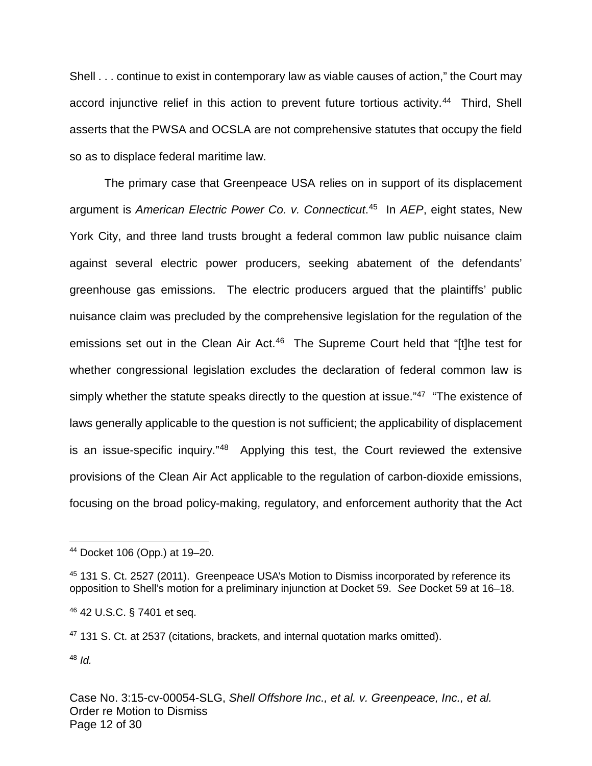Shell . . . continue to exist in contemporary law as viable causes of action," the Court may accord injunctive relief in this action to prevent future tortious activity.<sup>[44](#page-11-0)</sup> Third, Shell asserts that the PWSA and OCSLA are not comprehensive statutes that occupy the field so as to displace federal maritime law.

The primary case that Greenpeace USA relies on in support of its displacement argument is American Electric Power Co. v. Connecticut.<sup>[45](#page-11-1)</sup> In AEP, eight states, New York City, and three land trusts brought a federal common law public nuisance claim against several electric power producers, seeking abatement of the defendants' greenhouse gas emissions. The electric producers argued that the plaintiffs' public nuisance claim was precluded by the comprehensive legislation for the regulation of the emissions set out in the Clean Air Act.<sup>[46](#page-11-2)</sup> The Supreme Court held that "[t]he test for whether congressional legislation excludes the declaration of federal common law is simply whether the statute speaks directly to the question at issue."<sup>[47](#page-11-3)</sup> "The existence of laws generally applicable to the question is not sufficient; the applicability of displacement is an issue-specific inquiry."<sup>[48](#page-11-4)</sup> Applying this test, the Court reviewed the extensive provisions of the Clean Air Act applicable to the regulation of carbon-dioxide emissions, focusing on the broad policy-making, regulatory, and enforcement authority that the Act

<span id="page-11-4"></span> $48$  *Id.* 

<span id="page-11-0"></span><sup>44</sup> Docket 106 (Opp.) at 19–20.  $\overline{a}$ 

<span id="page-11-1"></span><sup>45</sup> 131 S. Ct. 2527 (2011). Greenpeace USA's Motion to Dismiss incorporated by reference its opposition to Shell's motion for a preliminary injunction at Docket 59. See Docket 59 at 16–18.

<span id="page-11-2"></span><sup>46</sup> 42 U.S.C. § 7401 et seq.

<span id="page-11-3"></span><sup>47</sup> 131 S. Ct. at 2537 (citations, brackets, and internal quotation marks omitted).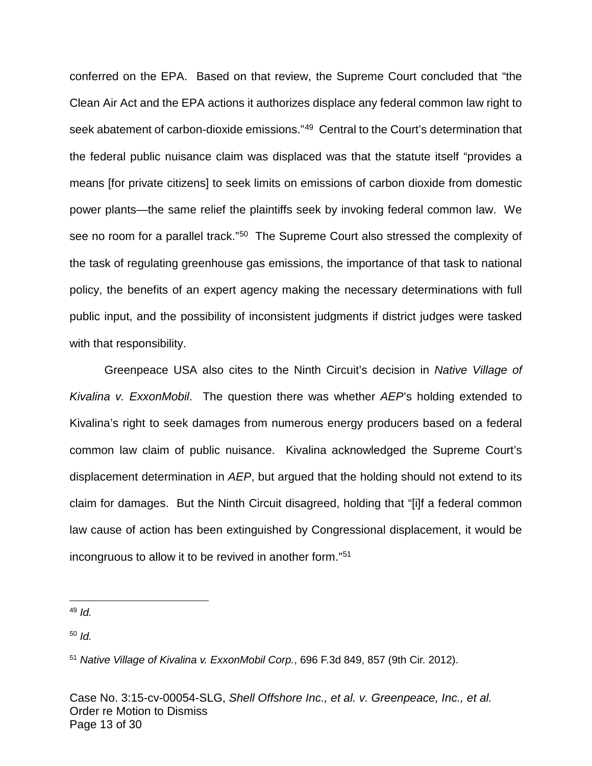conferred on the EPA. Based on that review, the Supreme Court concluded that "the Clean Air Act and the EPA actions it authorizes displace any federal common law right to seek abatement of carbon-dioxide emissions."<sup>[49](#page-12-0)</sup> Central to the Court's determination that the federal public nuisance claim was displaced was that the statute itself "provides a means [for private citizens] to seek limits on emissions of carbon dioxide from domestic power plants—the same relief the plaintiffs seek by invoking federal common law. We see no room for a parallel track."<sup>[50](#page-12-1)</sup> The Supreme Court also stressed the complexity of the task of regulating greenhouse gas emissions, the importance of that task to national policy, the benefits of an expert agency making the necessary determinations with full public input, and the possibility of inconsistent judgments if district judges were tasked with that responsibility.

Greenpeace USA also cites to the Ninth Circuit's decision in Native Village of Kivalina v. ExxonMobil. The question there was whether AEP's holding extended to Kivalina's right to seek damages from numerous energy producers based on a federal common law claim of public nuisance. Kivalina acknowledged the Supreme Court's displacement determination in AEP, but argued that the holding should not extend to its claim for damages. But the Ninth Circuit disagreed, holding that "[i]f a federal common law cause of action has been extinguished by Congressional displacement, it would be incongruous to allow it to be revived in another form."[51](#page-12-2)

<span id="page-12-1"></span> $50$  Id.

<span id="page-12-2"></span><sup>51</sup> Native Village of Kivalina v. ExxonMobil Corp., 696 F.3d 849, 857 (9th Cir. 2012).

Case No. 3:15-cv-00054-SLG, Shell Offshore Inc., et al. v. Greenpeace, Inc., et al. Order re Motion to Dismiss Page 13 of 30

<span id="page-12-0"></span> $49$  Id.  $\overline{a}$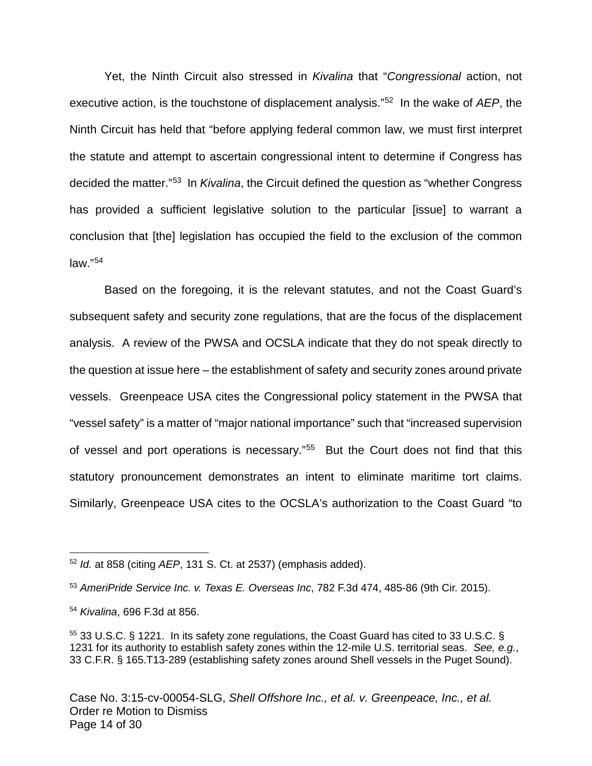Yet, the Ninth Circuit also stressed in Kivalina that "Congressional action, not executive action, is the touchstone of displacement analysis."<sup>[52](#page-13-0)</sup> In the wake of AEP, the Ninth Circuit has held that "before applying federal common law, we must first interpret the statute and attempt to ascertain congressional intent to determine if Congress has decided the matter."<sup>[53](#page-13-1)</sup> In Kivalina, the Circuit defined the question as "whether Congress has provided a sufficient legislative solution to the particular [issue] to warrant a conclusion that [the] legislation has occupied the field to the exclusion of the common law."[54](#page-13-2)

Based on the foregoing, it is the relevant statutes, and not the Coast Guard's subsequent safety and security zone regulations, that are the focus of the displacement analysis. A review of the PWSA and OCSLA indicate that they do not speak directly to the question at issue here – the establishment of safety and security zones around private vessels. Greenpeace USA cites the Congressional policy statement in the PWSA that "vessel safety" is a matter of "major national importance" such that "increased supervision of vessel and port operations is necessary."<sup>[55](#page-13-3)</sup> But the Court does not find that this statutory pronouncement demonstrates an intent to eliminate maritime tort claims. Similarly, Greenpeace USA cites to the OCSLA's authorization to the Coast Guard "to

 $\overline{a}$ 

<span id="page-13-0"></span> $52$  Id. at 858 (citing AEP, 131 S. Ct. at 2537) (emphasis added).

<span id="page-13-1"></span><sup>53</sup> AmeriPride Service Inc. v. Texas E. Overseas Inc, 782 F.3d 474, 485-86 (9th Cir. 2015).

<span id="page-13-2"></span><sup>54</sup> Kivalina, 696 F.3d at 856.

<span id="page-13-3"></span><sup>&</sup>lt;sup>55</sup> 33 U.S.C. § 1221. In its safety zone regulations, the Coast Guard has cited to 33 U.S.C. § 1231 for its authority to establish safety zones within the 12-mile U.S. territorial seas. See, e.g., 33 C.F.R. § 165.T13-289 (establishing safety zones around Shell vessels in the Puget Sound).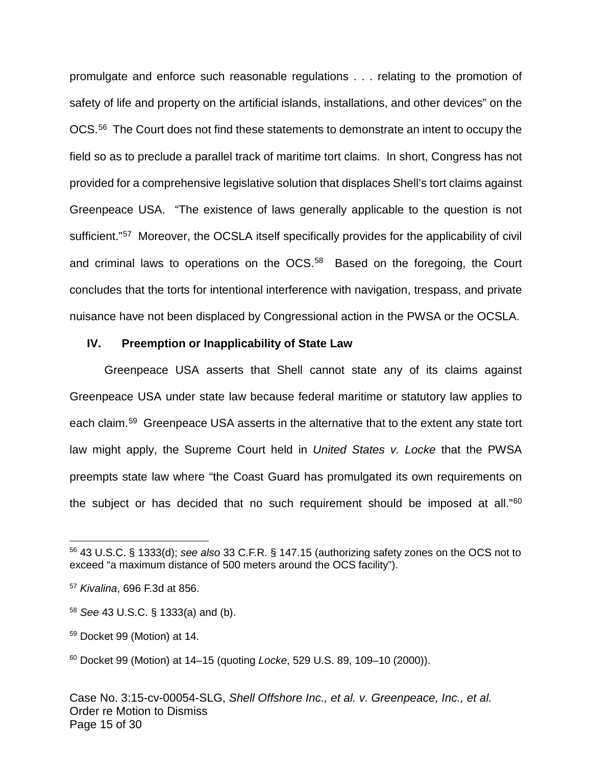promulgate and enforce such reasonable regulations . . . relating to the promotion of safety of life and property on the artificial islands, installations, and other devices" on the OCS.<sup>[56](#page-14-0)</sup> The Court does not find these statements to demonstrate an intent to occupy the field so as to preclude a parallel track of maritime tort claims. In short, Congress has not provided for a comprehensive legislative solution that displaces Shell's tort claims against Greenpeace USA. "The existence of laws generally applicable to the question is not sufficient."<sup>[57](#page-14-1)</sup> Moreover, the OCSLA itself specifically provides for the applicability of civil and criminal laws to operations on the OCS.<sup>[58](#page-14-2)</sup> Based on the foregoing, the Court concludes that the torts for intentional interference with navigation, trespass, and private nuisance have not been displaced by Congressional action in the PWSA or the OCSLA.

#### **IV. Preemption or Inapplicability of State Law**

Greenpeace USA asserts that Shell cannot state any of its claims against Greenpeace USA under state law because federal maritime or statutory law applies to each claim.<sup>[59](#page-14-3)</sup> Greenpeace USA asserts in the alternative that to the extent any state tort law might apply, the Supreme Court held in United States v. Locke that the PWSA preempts state law where "the Coast Guard has promulgated its own requirements on the subject or has decided that no such requirement should be imposed at all."<sup>[60](#page-14-4)</sup>

1

<span id="page-14-0"></span><sup>56</sup> 43 U.S.C. § 1333(d); see also 33 C.F.R. § 147.15 (authorizing safety zones on the OCS not to exceed "a maximum distance of 500 meters around the OCS facility").

<span id="page-14-1"></span><sup>57</sup> Kivalina, 696 F.3d at 856.

<span id="page-14-2"></span><sup>58</sup> See 43 U.S.C. § 1333(a) and (b).

<span id="page-14-3"></span><sup>59</sup> Docket 99 (Motion) at 14.

<span id="page-14-4"></span> $60$  Docket 99 (Motion) at 14–15 (quoting *Locke*, 529 U.S. 89, 109–10 (2000)).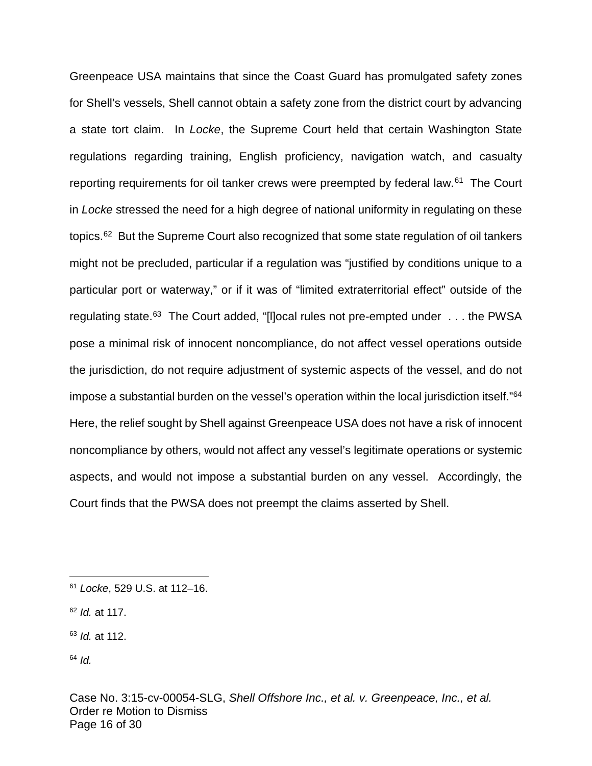Greenpeace USA maintains that since the Coast Guard has promulgated safety zones for Shell's vessels, Shell cannot obtain a safety zone from the district court by advancing a state tort claim. In Locke, the Supreme Court held that certain Washington State regulations regarding training, English proficiency, navigation watch, and casualty reporting requirements for oil tanker crews were preempted by federal law.<sup>[61](#page-15-0)</sup> The Court in Locke stressed the need for a high degree of national uniformity in regulating on these topics.<sup>[62](#page-15-1)</sup> But the Supreme Court also recognized that some state regulation of oil tankers might not be precluded, particular if a regulation was "justified by conditions unique to a particular port or waterway," or if it was of "limited extraterritorial effect" outside of the regulating state.<sup>[63](#page-15-2)</sup> The Court added, "[I]ocal rules not pre-empted under . . . the PWSA pose a minimal risk of innocent noncompliance, do not affect vessel operations outside the jurisdiction, do not require adjustment of systemic aspects of the vessel, and do not impose a substantial burden on the vessel's operation within the local jurisdiction itself."<sup>[64](#page-15-3)</sup> Here, the relief sought by Shell against Greenpeace USA does not have a risk of innocent noncompliance by others, would not affect any vessel's legitimate operations or systemic aspects, and would not impose a substantial burden on any vessel. Accordingly, the Court finds that the PWSA does not preempt the claims asserted by Shell.

<span id="page-15-0"></span><sup>61</sup> Locke, 529 U.S. at 112–16.  $\overline{a}$ 

<span id="page-15-1"></span> $62$  *Id.* at 117.

<span id="page-15-2"></span> $63$  *Id.* at 112.

<span id="page-15-3"></span> $64$  *Id.*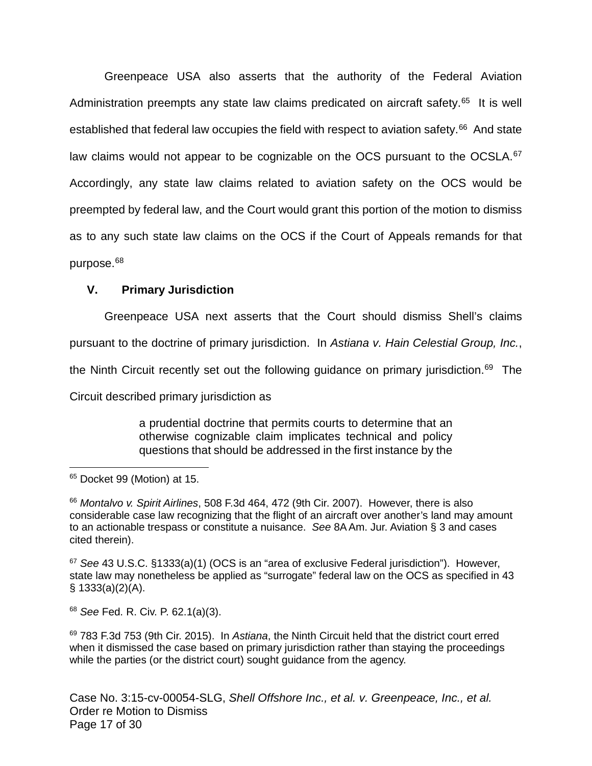Greenpeace USA also asserts that the authority of the Federal Aviation Administration preempts any state law claims predicated on aircraft safety.<sup>[65](#page-16-0)</sup> It is well established that federal law occupies the field with respect to aviation safety.<sup>[66](#page-16-1)</sup> And state law claims would not appear to be cognizable on the OCS pursuant to the OCSLA.<sup>[67](#page-16-2)</sup> Accordingly, any state law claims related to aviation safety on the OCS would be preempted by federal law, and the Court would grant this portion of the motion to dismiss as to any such state law claims on the OCS if the Court of Appeals remands for that purpose.<sup>[68](#page-16-3)</sup>

### **V. Primary Jurisdiction**

Greenpeace USA next asserts that the Court should dismiss Shell's claims pursuant to the doctrine of primary jurisdiction. In Astiana v. Hain Celestial Group, Inc., the Ninth Circuit recently set out the following guidance on primary jurisdiction.<sup>[69](#page-16-4)</sup> The Circuit described primary jurisdiction as

> a prudential doctrine that permits courts to determine that an otherwise cognizable claim implicates technical and policy questions that should be addressed in the first instance by the

1

<span id="page-16-3"></span><sup>68</sup> See Fed. R. Civ. P. 62.1(a)(3).

<span id="page-16-4"></span> $69$  783 F.3d 753 (9th Cir. 2015). In Astiana, the Ninth Circuit held that the district court erred when it dismissed the case based on primary jurisdiction rather than staying the proceedings while the parties (or the district court) sought guidance from the agency.

Case No. 3:15-cv-00054-SLG, Shell Offshore Inc., et al. v. Greenpeace, Inc., et al. Order re Motion to Dismiss Page 17 of 30

<span id="page-16-0"></span><sup>&</sup>lt;sup>65</sup> Docket 99 (Motion) at 15.

<span id="page-16-1"></span><sup>&</sup>lt;sup>66</sup> Montalvo v. Spirit Airlines, 508 F.3d 464, 472 (9th Cir. 2007). However, there is also considerable case law recognizing that the flight of an aircraft over another's land may amount to an actionable trespass or constitute a nuisance. See 8A Am. Jur. Aviation § 3 and cases cited therein).

<span id="page-16-2"></span> $67$  See 43 U.S.C. §1333(a)(1) (OCS is an "area of exclusive Federal jurisdiction"). However, state law may nonetheless be applied as "surrogate" federal law on the OCS as specified in 43  $§ 1333(a)(2)(A).$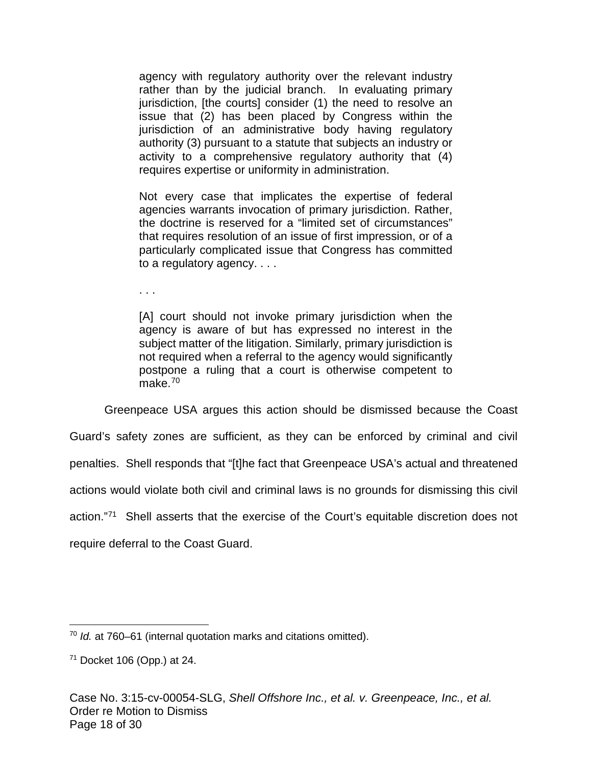agency with regulatory authority over the relevant industry rather than by the judicial branch. In evaluating primary jurisdiction, [the courts] consider (1) the need to resolve an issue that (2) has been placed by Congress within the jurisdiction of an administrative body having regulatory authority (3) pursuant to a statute that subjects an industry or activity to a comprehensive regulatory authority that (4) requires expertise or uniformity in administration.

Not every case that implicates the expertise of federal agencies warrants invocation of primary jurisdiction. Rather, the doctrine is reserved for a "limited set of circumstances" that requires resolution of an issue of first impression, or of a particularly complicated issue that Congress has committed to a regulatory agency. . . .

. . .

[A] court should not invoke primary jurisdiction when the agency is aware of but has expressed no interest in the subject matter of the litigation. Similarly, primary jurisdiction is not required when a referral to the agency would significantly postpone a ruling that a court is otherwise competent to make. $70$ 

Greenpeace USA argues this action should be dismissed because the Coast Guard's safety zones are sufficient, as they can be enforced by criminal and civil penalties. Shell responds that "[t]he fact that Greenpeace USA's actual and threatened actions would violate both civil and criminal laws is no grounds for dismissing this civil action."<sup>[71](#page-17-1)</sup> Shell asserts that the exercise of the Court's equitable discretion does not require deferral to the Coast Guard.

<span id="page-17-0"></span> $70$  Id. at 760–61 (internal quotation marks and citations omitted).  $\overline{a}$ 

<span id="page-17-1"></span><sup>71</sup> Docket 106 (Opp.) at 24.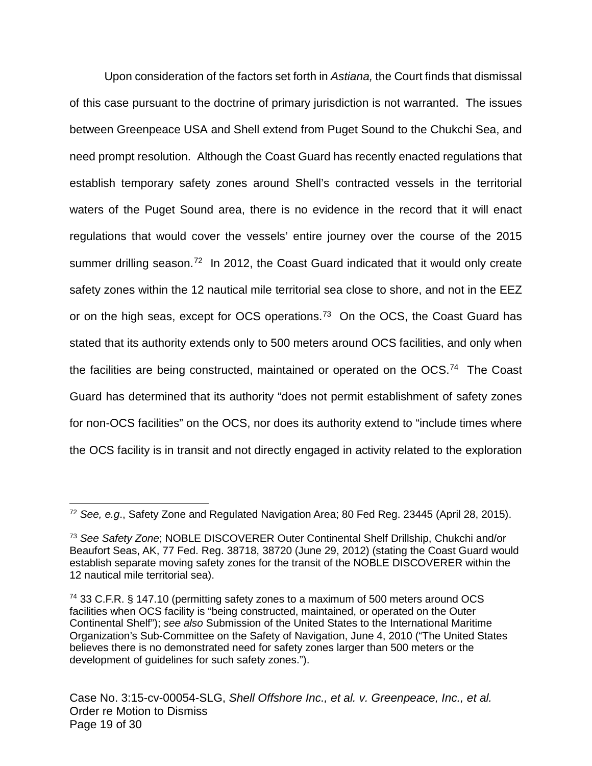Upon consideration of the factors set forth in Astiana, the Court finds that dismissal of this case pursuant to the doctrine of primary jurisdiction is not warranted. The issues between Greenpeace USA and Shell extend from Puget Sound to the Chukchi Sea, and need prompt resolution. Although the Coast Guard has recently enacted regulations that establish temporary safety zones around Shell's contracted vessels in the territorial waters of the Puget Sound area, there is no evidence in the record that it will enact regulations that would cover the vessels' entire journey over the course of the 2015 summer drilling season.<sup>[72](#page-18-0)</sup> In 2012, the Coast Guard indicated that it would only create safety zones within the 12 nautical mile territorial sea close to shore, and not in the EEZ or on the high seas, except for OCS operations.<sup>[73](#page-18-1)</sup> On the OCS, the Coast Guard has stated that its authority extends only to 500 meters around OCS facilities, and only when the facilities are being constructed, maintained or operated on the OCS.<sup>[74](#page-18-2)</sup> The Coast Guard has determined that its authority "does not permit establishment of safety zones for non-OCS facilities" on the OCS, nor does its authority extend to "include times where the OCS facility is in transit and not directly engaged in activity related to the exploration

<span id="page-18-0"></span><sup>72</sup> See, e.g., Safety Zone and Regulated Navigation Area; 80 Fed Reg. 23445 (April 28, 2015).  $\overline{a}$ 

<span id="page-18-1"></span><sup>73</sup> See Safety Zone; NOBLE DISCOVERER Outer Continental Shelf Drillship, Chukchi and/or Beaufort Seas, AK, 77 Fed. Reg. 38718, 38720 (June 29, 2012) (stating the Coast Guard would establish separate moving safety zones for the transit of the NOBLE DISCOVERER within the 12 nautical mile territorial sea).

<span id="page-18-2"></span><sup>74</sup> 33 C.F.R. § 147.10 (permitting safety zones to a maximum of 500 meters around OCS facilities when OCS facility is "being constructed, maintained, or operated on the Outer Continental Shelf"); see also Submission of the United States to the International Maritime Organization's Sub-Committee on the Safety of Navigation, June 4, 2010 ("The United States believes there is no demonstrated need for safety zones larger than 500 meters or the development of guidelines for such safety zones.").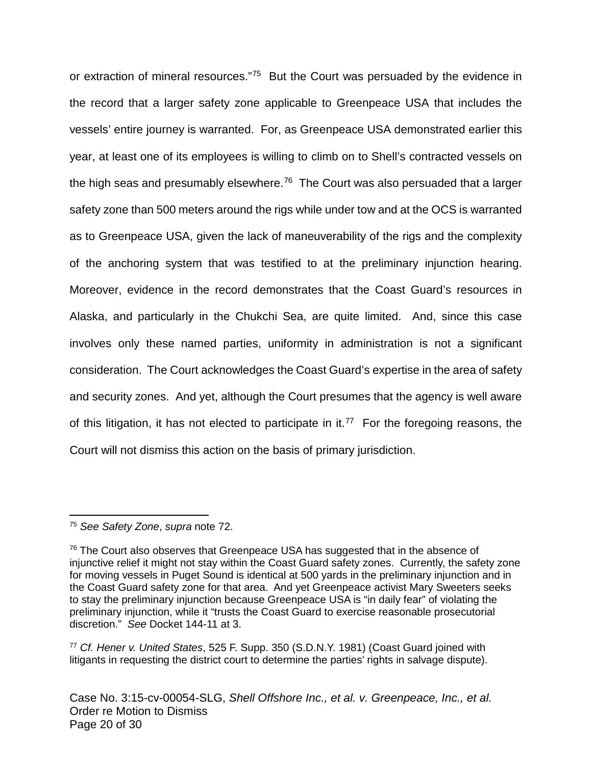or extraction of mineral resources."<sup>[75](#page-19-0)</sup> But the Court was persuaded by the evidence in the record that a larger safety zone applicable to Greenpeace USA that includes the vessels' entire journey is warranted. For, as Greenpeace USA demonstrated earlier this year, at least one of its employees is willing to climb on to Shell's contracted vessels on the high seas and presumably elsewhere.<sup>[76](#page-19-1)</sup> The Court was also persuaded that a larger safety zone than 500 meters around the rigs while under tow and at the OCS is warranted as to Greenpeace USA, given the lack of maneuverability of the rigs and the complexity of the anchoring system that was testified to at the preliminary injunction hearing. Moreover, evidence in the record demonstrates that the Coast Guard's resources in Alaska, and particularly in the Chukchi Sea, are quite limited. And, since this case involves only these named parties, uniformity in administration is not a significant consideration. The Court acknowledges the Coast Guard's expertise in the area of safety and security zones. And yet, although the Court presumes that the agency is well aware of this litigation, it has not elected to participate in it.<sup>[77](#page-19-2)</sup> For the foregoing reasons, the Court will not dismiss this action on the basis of primary jurisdiction.

<span id="page-19-0"></span><sup>&</sup>lt;sup>75</sup> See Safety Zone, supra note 72. 1

<span id="page-19-1"></span> $76$  The Court also observes that Greenpeace USA has suggested that in the absence of injunctive relief it might not stay within the Coast Guard safety zones. Currently, the safety zone for moving vessels in Puget Sound is identical at 500 yards in the preliminary injunction and in the Coast Guard safety zone for that area. And yet Greenpeace activist Mary Sweeters seeks to stay the preliminary injunction because Greenpeace USA is "in daily fear" of violating the preliminary injunction, while it "trusts the Coast Guard to exercise reasonable prosecutorial discretion." See Docket 144-11 at 3.

<span id="page-19-2"></span><sup>77</sup> Cf. Hener v. United States, 525 F. Supp. 350 (S.D.N.Y. 1981) (Coast Guard joined with litigants in requesting the district court to determine the parties' rights in salvage dispute).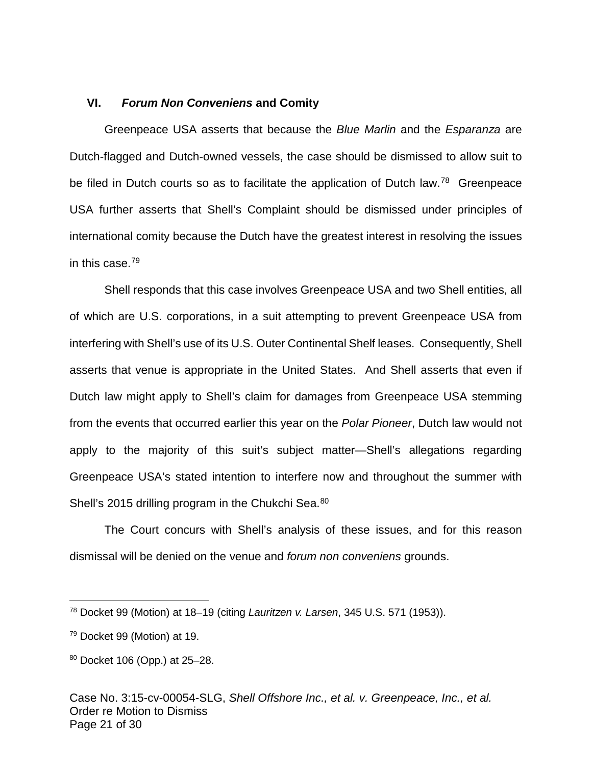### **VI. Forum Non Conveniens and Comity**

Greenpeace USA asserts that because the Blue Marlin and the Esparanza are Dutch-flagged and Dutch-owned vessels, the case should be dismissed to allow suit to be filed in Dutch courts so as to facilitate the application of Dutch law.<sup>[78](#page-20-0)</sup> Greenpeace USA further asserts that Shell's Complaint should be dismissed under principles of international comity because the Dutch have the greatest interest in resolving the issues in this case.[79](#page-20-1)

Shell responds that this case involves Greenpeace USA and two Shell entities, all of which are U.S. corporations, in a suit attempting to prevent Greenpeace USA from interfering with Shell's use of its U.S. Outer Continental Shelf leases. Consequently, Shell asserts that venue is appropriate in the United States. And Shell asserts that even if Dutch law might apply to Shell's claim for damages from Greenpeace USA stemming from the events that occurred earlier this year on the Polar Pioneer, Dutch law would not apply to the majority of this suit's subject matter—Shell's allegations regarding Greenpeace USA's stated intention to interfere now and throughout the summer with Shell's 2015 drilling program in the Chukchi Sea.<sup>[80](#page-20-2)</sup>

The Court concurs with Shell's analysis of these issues, and for this reason dismissal will be denied on the venue and forum non conveniens grounds.

 $\overline{a}$ 

<span id="page-20-0"></span> $78$  Docket 99 (Motion) at 18–19 (citing Lauritzen v. Larsen, 345 U.S. 571 (1953)).

<span id="page-20-1"></span><sup>79</sup> Docket 99 (Motion) at 19.

<span id="page-20-2"></span><sup>80</sup> Docket 106 (Opp.) at 25–28.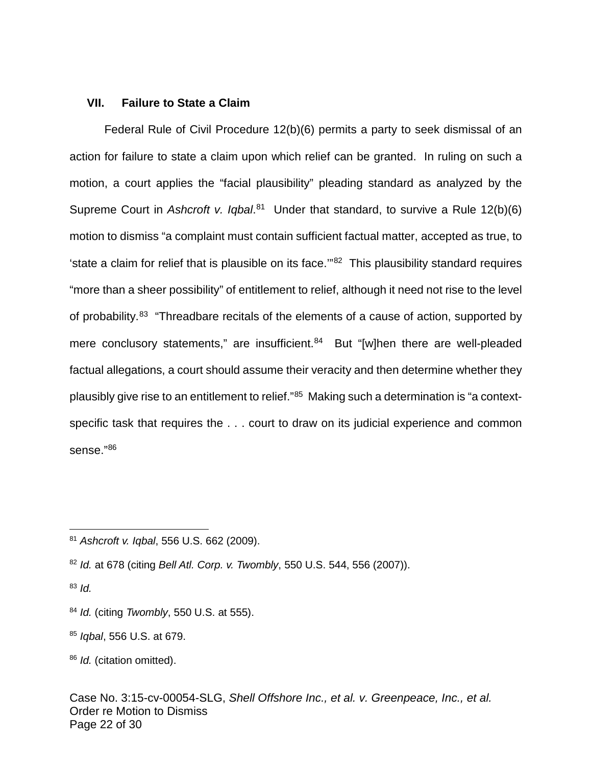#### **VII. Failure to State a Claim**

Federal Rule of Civil Procedure 12(b)(6) permits a party to seek dismissal of an action for failure to state a claim upon which relief can be granted. In ruling on such a motion, a court applies the "facial plausibility" pleading standard as analyzed by the Supreme Court in Ashcroft v. Iqbal.<sup>[81](#page-21-0)</sup> Under that standard, to survive a Rule 12(b)(6) motion to dismiss "a complaint must contain sufficient factual matter, accepted as true, to 'state a claim for relief that is plausible on its face.'"[82](#page-21-1) This plausibility standard requires "more than a sheer possibility" of entitlement to relief, although it need not rise to the level of probability.<sup>[83](#page-21-2)</sup> "Threadbare recitals of the elements of a cause of action, supported by mere conclusory statements," are insufficient.<sup>[84](#page-21-3)</sup> But "[w]hen there are well-pleaded factual allegations, a court should assume their veracity and then determine whether they plausibly give rise to an entitlement to relief."<sup>[85](#page-21-4)</sup> Making such a determination is "a contextspecific task that requires the . . . court to draw on its judicial experience and common sense."[86](#page-21-5)

<span id="page-21-2"></span> $83$  *Id.* 

1

<span id="page-21-0"></span><sup>81</sup> Ashcroft v. Iqbal, 556 U.S. 662 (2009).

<span id="page-21-1"></span><sup>82</sup> Id. at 678 (citing Bell Atl. Corp. v. Twombly, 550 U.S. 544, 556 (2007)).

<span id="page-21-3"></span> $84$  Id. (citing Twombly, 550 U.S. at 555).

<span id="page-21-4"></span><sup>85</sup> *Igbal*, 556 U.S. at 679.

<span id="page-21-5"></span><sup>86</sup> *Id.* (citation omitted).

Case No. 3:15-cv-00054-SLG, Shell Offshore Inc., et al. v. Greenpeace, Inc., et al. Order re Motion to Dismiss Page 22 of 30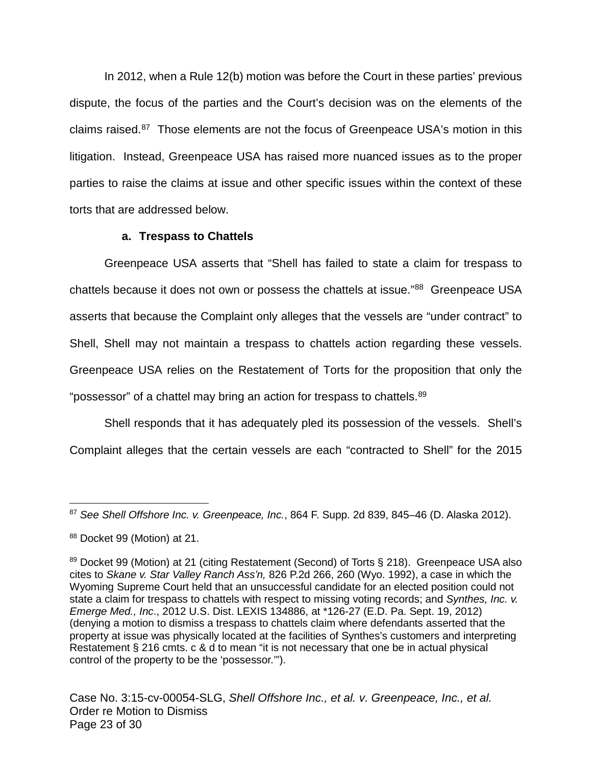In 2012, when a Rule 12(b) motion was before the Court in these parties' previous dispute, the focus of the parties and the Court's decision was on the elements of the claims raised.<sup>[87](#page-22-0)</sup> Those elements are not the focus of Greenpeace USA's motion in this litigation. Instead, Greenpeace USA has raised more nuanced issues as to the proper parties to raise the claims at issue and other specific issues within the context of these torts that are addressed below.

### **a. Trespass to Chattels**

Greenpeace USA asserts that "Shell has failed to state a claim for trespass to chattels because it does not own or possess the chattels at issue."<sup>[88](#page-22-1)</sup> Greenpeace USA asserts that because the Complaint only alleges that the vessels are "under contract" to Shell, Shell may not maintain a trespass to chattels action regarding these vessels. Greenpeace USA relies on the Restatement of Torts for the proposition that only the "possessor" of a chattel may bring an action for trespass to chattels.<sup>[89](#page-22-2)</sup>

Shell responds that it has adequately pled its possession of the vessels. Shell's Complaint alleges that the certain vessels are each "contracted to Shell" for the 2015

<span id="page-22-0"></span><sup>87</sup> See Shell Offshore Inc. v. Greenpeace, Inc., 864 F. Supp. 2d 839, 845-46 (D. Alaska 2012).  $\overline{a}$ 

<span id="page-22-1"></span><sup>88</sup> Docket 99 (Motion) at 21.

<span id="page-22-2"></span><sup>89</sup> Docket 99 (Motion) at 21 (citing Restatement (Second) of Torts § 218). Greenpeace USA also cites to Skane v. Star Valley Ranch Ass'n, 826 P.2d 266, 260 (Wyo. 1992), a case in which the Wyoming Supreme Court held that an unsuccessful candidate for an elected position could not state a claim for trespass to chattels with respect to missing voting records; and Synthes, Inc. v. Emerge Med., Inc., 2012 U.S. Dist. LEXIS 134886, at \*126-27 (E.D. Pa. Sept. 19, 2012) (denying a motion to dismiss a trespass to chattels claim where defendants asserted that the property at issue was physically located at the facilities of Synthes's customers and interpreting Restatement § 216 cmts. c & d to mean "it is not necessary that one be in actual physical control of the property to be the 'possessor.'").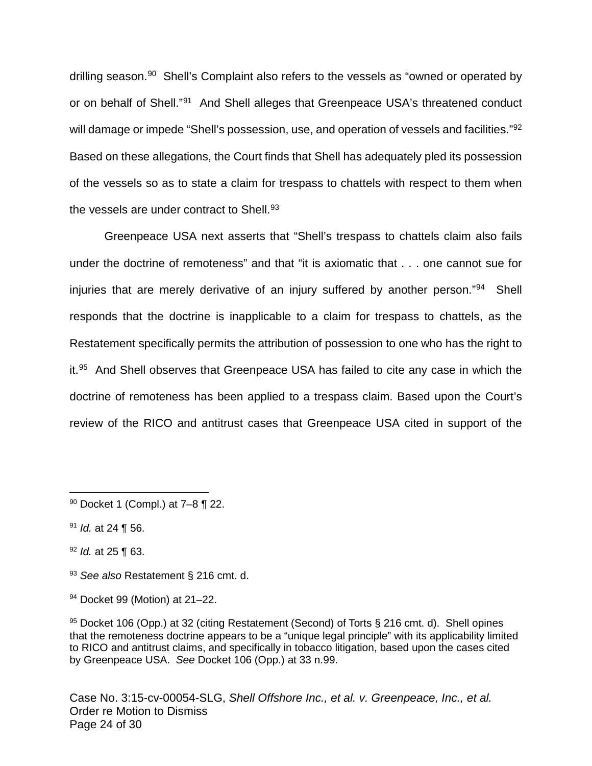drilling season.<sup>[90](#page-23-0)</sup> Shell's Complaint also refers to the vessels as "owned or operated by or on behalf of Shell."<sup>[91](#page-23-1)</sup> And Shell alleges that Greenpeace USA's threatened conduct will damage or impede "Shell's possession, use, and operation of vessels and facilities."<sup>[92](#page-23-2)</sup> Based on these allegations, the Court finds that Shell has adequately pled its possession of the vessels so as to state a claim for trespass to chattels with respect to them when the vessels are under contract to Shell. $93$ 

Greenpeace USA next asserts that "Shell's trespass to chattels claim also fails under the doctrine of remoteness" and that "it is axiomatic that . . . one cannot sue for injuries that are merely derivative of an injury suffered by another person."<sup>[94](#page-23-4)</sup> Shell responds that the doctrine is inapplicable to a claim for trespass to chattels, as the Restatement specifically permits the attribution of possession to one who has the right to it.<sup>[95](#page-23-5)</sup> And Shell observes that Greenpeace USA has failed to cite any case in which the doctrine of remoteness has been applied to a trespass claim. Based upon the Court's review of the RICO and antitrust cases that Greenpeace USA cited in support of the

 $\overline{a}$ 

- <span id="page-23-2"></span> $92$  *ld.* at 25 ¶ 63.
- <span id="page-23-3"></span>93 See also Restatement § 216 cmt. d.
- <span id="page-23-4"></span><sup>94</sup> Docket 99 (Motion) at 21–22.

<span id="page-23-5"></span> $95$  Docket 106 (Opp.) at 32 (citing Restatement (Second) of Torts § 216 cmt. d). Shell opines that the remoteness doctrine appears to be a "unique legal principle" with its applicability limited to RICO and antitrust claims, and specifically in tobacco litigation, based upon the cases cited by Greenpeace USA. See Docket 106 (Opp.) at 33 n.99.

Case No. 3:15-cv-00054-SLG, Shell Offshore Inc., et al. v. Greenpeace, Inc., et al. Order re Motion to Dismiss Page 24 of 30

<span id="page-23-0"></span><sup>90</sup> Docket 1 (Compl.) at 7–8 ¶ 22.

<span id="page-23-1"></span> $91$  *Id.* at 24 ¶ 56.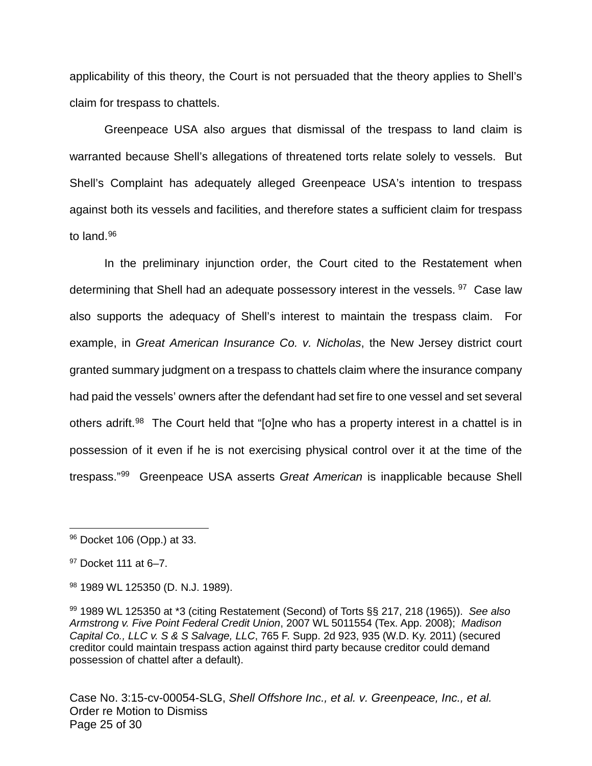applicability of this theory, the Court is not persuaded that the theory applies to Shell's claim for trespass to chattels.

Greenpeace USA also argues that dismissal of the trespass to land claim is warranted because Shell's allegations of threatened torts relate solely to vessels. But Shell's Complaint has adequately alleged Greenpeace USA's intention to trespass against both its vessels and facilities, and therefore states a sufficient claim for trespass to land.<sup>[96](#page-24-0)</sup>

In the preliminary injunction order, the Court cited to the Restatement when determining that Shell had an adequate possessory interest in the vessels. <sup>[97](#page-24-1)</sup> Case law also supports the adequacy of Shell's interest to maintain the trespass claim. For example, in Great American Insurance Co. v. Nicholas, the New Jersey district court granted summary judgment on a trespass to chattels claim where the insurance company had paid the vessels' owners after the defendant had set fire to one vessel and set several others adrift.<sup>[98](#page-24-2)</sup> The Court held that "[o]ne who has a property interest in a chattel is in possession of it even if he is not exercising physical control over it at the time of the trespass."<sup>[99](#page-24-3)</sup> Greenpeace USA asserts Great American is inapplicable because Shell

 $\overline{a}$ 

Case No. 3:15-cv-00054-SLG, Shell Offshore Inc., et al. v. Greenpeace, Inc., et al. Order re Motion to Dismiss Page 25 of 30

<span id="page-24-0"></span><sup>96</sup> Docket 106 (Opp.) at 33.

<span id="page-24-1"></span> $97$  Docket 111 at 6-7.

<span id="page-24-2"></span><sup>98 1989</sup> WL 125350 (D. N.J. 1989).

<span id="page-24-3"></span> $99$  1989 WL 125350 at \*3 (citing Restatement (Second) of Torts  $\S$ § 217, 218 (1965)). See also Armstrong v. Five Point Federal Credit Union, 2007 WL 5011554 (Tex. App. 2008); Madison Capital Co., LLC v. S & S Salvage, LLC, 765 F. Supp. 2d 923, 935 (W.D. Ky. 2011) (secured creditor could maintain trespass action against third party because creditor could demand possession of chattel after a default).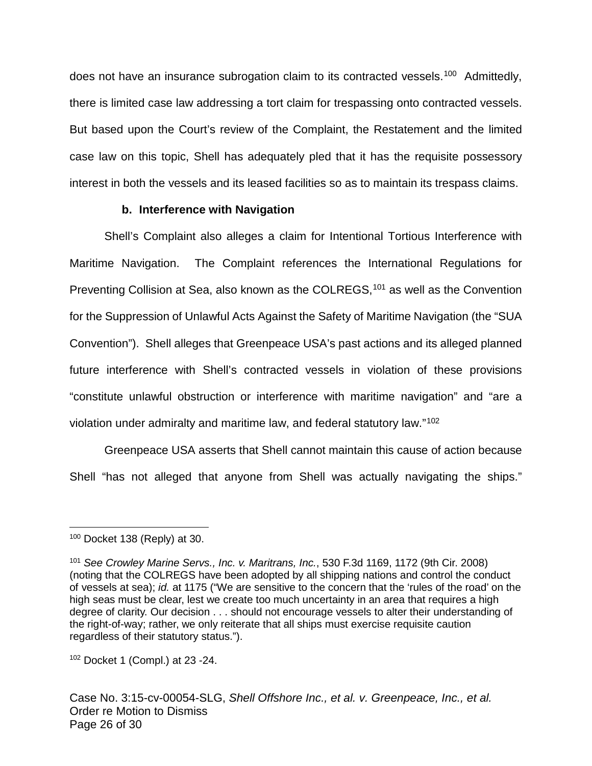does not have an insurance subrogation claim to its contracted vessels.<sup>[100](#page-25-0)</sup> Admittedly, there is limited case law addressing a tort claim for trespassing onto contracted vessels. But based upon the Court's review of the Complaint, the Restatement and the limited case law on this topic, Shell has adequately pled that it has the requisite possessory interest in both the vessels and its leased facilities so as to maintain its trespass claims.

### **b. Interference with Navigation**

Shell's Complaint also alleges a claim for Intentional Tortious Interference with Maritime Navigation. The Complaint references the International Regulations for Preventing Collision at Sea, also known as the COLREGS,<sup>[101](#page-25-1)</sup> as well as the Convention for the Suppression of Unlawful Acts Against the Safety of Maritime Navigation (the "SUA Convention"). Shell alleges that Greenpeace USA's past actions and its alleged planned future interference with Shell's contracted vessels in violation of these provisions "constitute unlawful obstruction or interference with maritime navigation" and "are a violation under admiralty and maritime law, and federal statutory law."<sup>[102](#page-25-2)</sup>

Greenpeace USA asserts that Shell cannot maintain this cause of action because Shell "has not alleged that anyone from Shell was actually navigating the ships."

<span id="page-25-0"></span><sup>100</sup> Docket 138 (Reply) at 30.  $\overline{a}$ 

<span id="page-25-1"></span><sup>&</sup>lt;sup>101</sup> See Crowley Marine Servs., Inc. v. Maritrans, Inc., 530 F.3d 1169, 1172 (9th Cir. 2008) (noting that the COLREGS have been adopted by all shipping nations and control the conduct of vessels at sea); id. at 1175 ("We are sensitive to the concern that the 'rules of the road' on the high seas must be clear, lest we create too much uncertainty in an area that requires a high degree of clarity. Our decision . . . should not encourage vessels to alter their understanding of the right-of-way; rather, we only reiterate that all ships must exercise requisite caution regardless of their statutory status.").

<span id="page-25-2"></span><sup>102</sup> Docket 1 (Compl.) at 23 -24.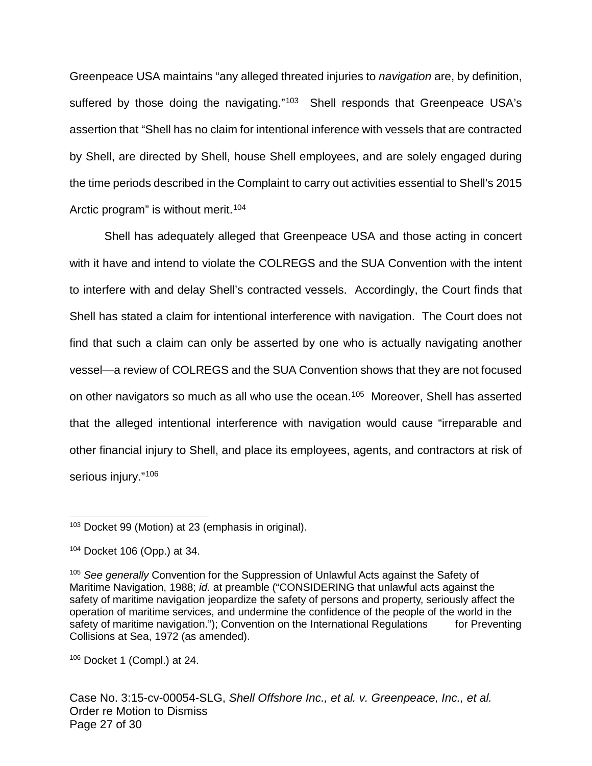Greenpeace USA maintains "any alleged threated injuries to navigation are, by definition, suffered by those doing the navigating."<sup>[103](#page-26-0)</sup> Shell responds that Greenpeace USA's assertion that "Shell has no claim for intentional inference with vessels that are contracted by Shell, are directed by Shell, house Shell employees, and are solely engaged during the time periods described in the Complaint to carry out activities essential to Shell's 2015 Arctic program" is without merit.<sup>[104](#page-26-1)</sup>

Shell has adequately alleged that Greenpeace USA and those acting in concert with it have and intend to violate the COLREGS and the SUA Convention with the intent to interfere with and delay Shell's contracted vessels. Accordingly, the Court finds that Shell has stated a claim for intentional interference with navigation. The Court does not find that such a claim can only be asserted by one who is actually navigating another vessel—a review of COLREGS and the SUA Convention shows that they are not focused on other navigators so much as all who use the ocean.<sup>[105](#page-26-2)</sup> Moreover, Shell has asserted that the alleged intentional interference with navigation would cause "irreparable and other financial injury to Shell, and place its employees, agents, and contractors at risk of serious injury." [106](#page-26-3)

<span id="page-26-3"></span><sup>106</sup> Docket 1 (Compl.) at 24.

Case No. 3:15-cv-00054-SLG, Shell Offshore Inc., et al. v. Greenpeace, Inc., et al. Order re Motion to Dismiss Page 27 of 30

<span id="page-26-0"></span><sup>103</sup> Docket 99 (Motion) at 23 (emphasis in original). 1

<span id="page-26-1"></span><sup>104</sup> Docket 106 (Opp.) at 34.

<span id="page-26-2"></span><sup>&</sup>lt;sup>105</sup> See generally Convention for the Suppression of Unlawful Acts against the Safety of Maritime Navigation, 1988; id. at preamble ("CONSIDERING that unlawful acts against the safety of maritime navigation jeopardize the safety of persons and property, seriously affect the operation of maritime services, and undermine the confidence of the people of the world in the safety of maritime navigation."); Convention on the International Regulations for Preventing Collisions at Sea, 1972 (as amended).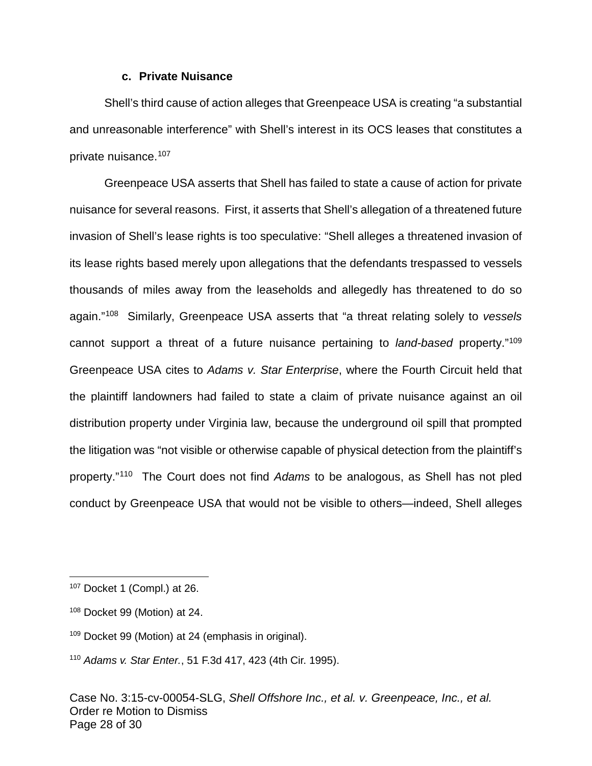#### **c. Private Nuisance**

Shell's third cause of action alleges that Greenpeace USA is creating "a substantial and unreasonable interference" with Shell's interest in its OCS leases that constitutes a private nuisance.[107](#page-27-0)

Greenpeace USA asserts that Shell has failed to state a cause of action for private nuisance for several reasons. First, it asserts that Shell's allegation of a threatened future invasion of Shell's lease rights is too speculative: "Shell alleges a threatened invasion of its lease rights based merely upon allegations that the defendants trespassed to vessels thousands of miles away from the leaseholds and allegedly has threatened to do so again."<sup>[108](#page-27-1)</sup> Similarly, Greenpeace USA asserts that "a threat relating solely to vessels cannot support a threat of a future nuisance pertaining to land-based property."<sup>[109](#page-27-2)</sup> Greenpeace USA cites to Adams v. Star Enterprise, where the Fourth Circuit held that the plaintiff landowners had failed to state a claim of private nuisance against an oil distribution property under Virginia law, because the underground oil spill that prompted the litigation was "not visible or otherwise capable of physical detection from the plaintiff's property."<sup>[110](#page-27-3)</sup> The Court does not find Adams to be analogous, as Shell has not pled conduct by Greenpeace USA that would not be visible to others—indeed, Shell alleges

1

<span id="page-27-0"></span><sup>107</sup> Docket 1 (Compl.) at 26.

<span id="page-27-1"></span><sup>108</sup> Docket 99 (Motion) at 24.

<span id="page-27-2"></span><sup>109</sup> Docket 99 (Motion) at 24 (emphasis in original).

<span id="page-27-3"></span><sup>110</sup> Adams v. Star Enter., 51 F.3d 417, 423 (4th Cir. 1995).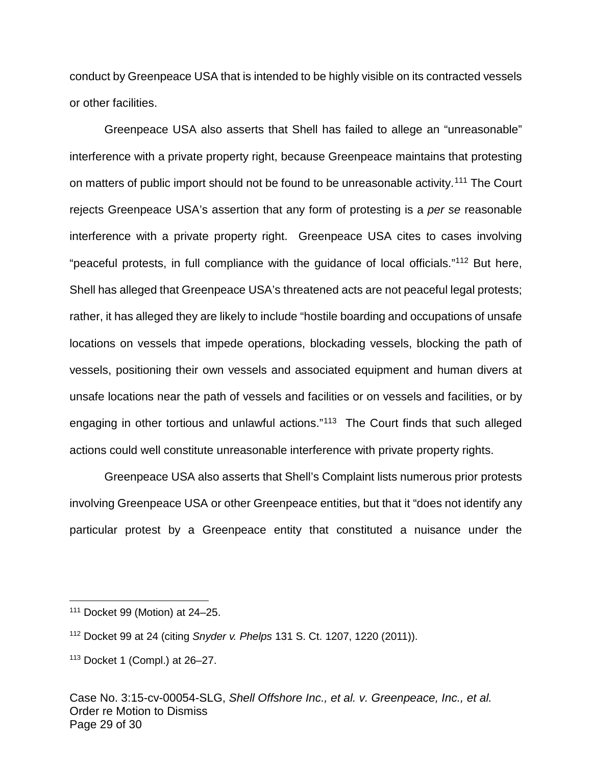conduct by Greenpeace USA that is intended to be highly visible on its contracted vessels or other facilities.

Greenpeace USA also asserts that Shell has failed to allege an "unreasonable" interference with a private property right, because Greenpeace maintains that protesting on matters of public import should not be found to be unreasonable activity.<sup>[111](#page-28-0)</sup> The Court rejects Greenpeace USA's assertion that any form of protesting is a per se reasonable interference with a private property right. Greenpeace USA cites to cases involving "peaceful protests, in full compliance with the guidance of local officials."<sup>[112](#page-28-1)</sup> But here, Shell has alleged that Greenpeace USA's threatened acts are not peaceful legal protests; rather, it has alleged they are likely to include "hostile boarding and occupations of unsafe locations on vessels that impede operations, blockading vessels, blocking the path of vessels, positioning their own vessels and associated equipment and human divers at unsafe locations near the path of vessels and facilities or on vessels and facilities, or by engaging in other tortious and unlawful actions."<sup>[113](#page-28-2)</sup> The Court finds that such alleged actions could well constitute unreasonable interference with private property rights.

Greenpeace USA also asserts that Shell's Complaint lists numerous prior protests involving Greenpeace USA or other Greenpeace entities, but that it "does not identify any particular protest by a Greenpeace entity that constituted a nuisance under the

1

<span id="page-28-0"></span><sup>111</sup> Docket 99 (Motion) at 24–25.

<span id="page-28-1"></span><sup>112</sup> Docket 99 at 24 (citing Snyder v. Phelps 131 S. Ct. 1207, 1220 (2011)).

<span id="page-28-2"></span><sup>113</sup> Docket 1 (Compl.) at 26–27.